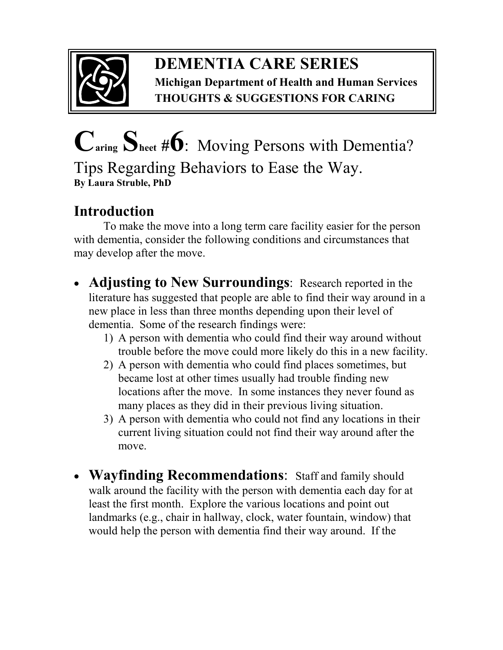

## **DEMENTIA CARE SERIES Michigan Department of Health and Human Services THOUGHTS & SUGGESTIONS FOR CARING**

## **Caring Sheet #6**:Moving Persons with Dementia? Tips Regarding Behaviors to Ease the Way. **By Laura Struble, PhD**

## **Introduction**

To make the move into a long term care facility easier for the person with dementia, consider the following conditions and circumstances that may develop after the move.

- **Adjusting to New Surroundings**: Research reported in the literature has suggested that people are able to find their way around in a new place in less than three months depending upon their level of dementia. Some of the research findings were:
	- 1) A person with dementia who could find their way around without trouble before the move could more likely do this in a new facility.
	- 2) A person with dementia who could find places sometimes, but became lost at other times usually had trouble finding new locations after the move. In some instances they never found as many places as they did in their previous living situation.
	- 3) A person with dementia who could not find any locations in their current living situation could not find their way around after the move.
- **Wayfinding Recommendations**: Staff and family should walk around the facility with the person with dementia each day for at least the first month. Explore the various locations and point out landmarks (e.g., chair in hallway, clock, water fountain, window) that would help the person with dementia find their way around. If the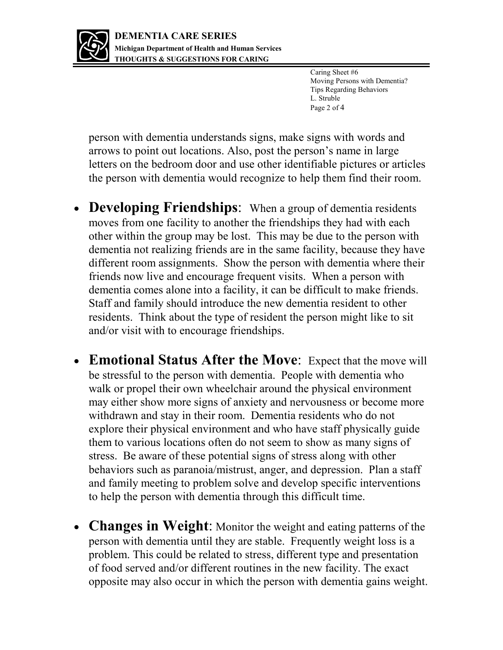

Caring Sheet #6 Moving Persons with Dementia? Tips Regarding Behaviors L. Struble Page 2 of 4

person with dementia understands signs, make signs with words and arrows to point out locations. Also, post the person's name in large letters on the bedroom door and use other identifiable pictures or articles the person with dementia would recognize to help them find their room.

- **Developing Friendships**: When a group of dementia residents moves from one facility to another the friendships they had with each other within the group may be lost. This may be due to the person with dementia not realizing friends are in the same facility, because they have different room assignments. Show the person with dementia where their friends now live and encourage frequent visits. When a person with dementia comes alone into a facility, it can be difficult to make friends. Staff and family should introduce the new dementia resident to other residents. Think about the type of resident the person might like to sit and/or visit with to encourage friendships.
- **Emotional Status After the Move**: Expect that the move will be stressful to the person with dementia. People with dementia who walk or propel their own wheelchair around the physical environment may either show more signs of anxiety and nervousness or become more withdrawn and stay in their room. Dementia residents who do not explore their physical environment and who have staff physically guide them to various locations often do not seem to show as many signs of stress. Be aware of these potential signs of stress along with other behaviors such as paranoia/mistrust, anger, and depression. Plan a staff and family meeting to problem solve and develop specific interventions to help the person with dementia through this difficult time.
- **Changes in Weight**: Monitor the weight and eating patterns of the person with dementia until they are stable. Frequently weight loss is a problem. This could be related to stress, different type and presentation of food served and/or different routines in the new facility. The exact opposite may also occur in which the person with dementia gains weight.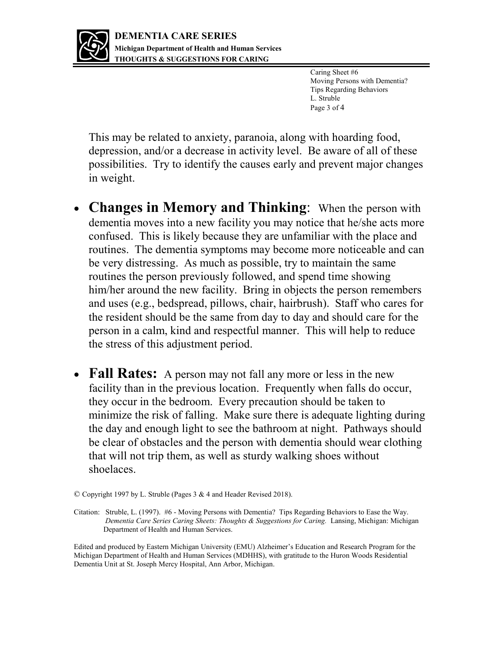

Caring Sheet #6 Moving Persons with Dementia? Tips Regarding Behaviors L. Struble Page 3 of 4

This may be related to anxiety, paranoia, along with hoarding food, depression, and/or a decrease in activity level. Be aware of all of these possibilities. Try to identify the causes early and prevent major changes in weight.

- **Changes in Memory and Thinking**: When the person with dementia moves into a new facility you may notice that he/she acts more confused. This is likely because they are unfamiliar with the place and routines. The dementia symptoms may become more noticeable and can be very distressing. As much as possible, try to maintain the same routines the person previously followed, and spend time showing him/her around the new facility. Bring in objects the person remembers and uses (e.g., bedspread, pillows, chair, hairbrush). Staff who cares for the resident should be the same from day to day and should care for the person in a calm, kind and respectful manner. This will help to reduce the stress of this adjustment period.
- Fall Rates: A person may not fall any more or less in the new facility than in the previous location. Frequently when falls do occur, they occur in the bedroom. Every precaution should be taken to minimize the risk of falling. Make sure there is adequate lighting during the day and enough light to see the bathroom at night. Pathways should be clear of obstacles and the person with dementia should wear clothing that will not trip them, as well as sturdy walking shoes without shoelaces.

Edited and produced by Eastern Michigan University (EMU) Alzheimer's Education and Research Program for the Michigan Department of Health and Human Services (MDHHS), with gratitude to the Huron Woods Residential Dementia Unit at St. Joseph Mercy Hospital, Ann Arbor, Michigan.

<sup>©</sup> Copyright 1997 by L. Struble (Pages 3 & 4 and Header Revised 2018).

Citation: Struble, L. (1997). #6 - Moving Persons with Dementia? Tips Regarding Behaviors to Ease the Way. *Dementia Care Series Caring Sheets: Thoughts & Suggestions for Caring.* Lansing, Michigan: Michigan Department of Health and Human Services.